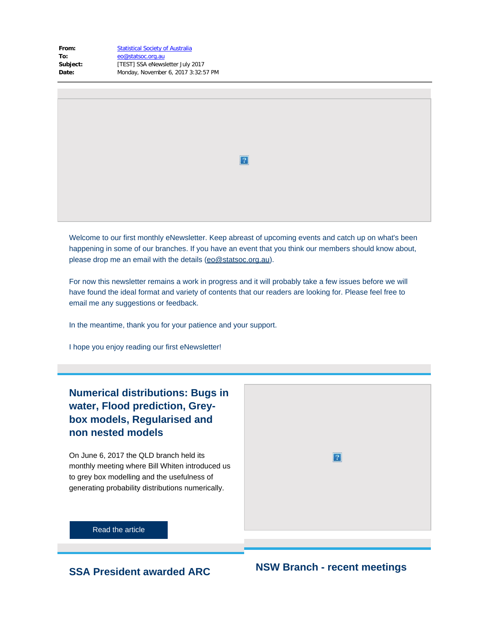| From:    | <b>Statistical Society of Australia</b> |
|----------|-----------------------------------------|
| To:      | eo@statsoc.org.au                       |
| Subject: | [TEST] SSA eNewsletter July 2017        |
| Date:    | Monday, November 6, 2017 3:32:57 PM     |
|          |                                         |

 $\overline{2}$ 

Welcome to our first monthly eNewsletter. Keep abreast of upcoming events and catch up on what's been happening in some of our branches. If you have an event that you think our members should know about, please drop me an email with the details [\(eo@statsoc.org.au](mailto:eo@statsoc.org.au)).

For now this newsletter remains a work in progress and it will probably take a few issues before we will have found the ideal format and variety of contents that our readers are looking for. Please feel free to email me any suggestions or feedback.

In the meantime, thank you for your patience and your support.

I hope you enjoy reading our first eNewsletter!

**Numerical distributions: Bugs in water, Flood prediction, Greybox models, Regularised and non nested models**

On June 6, 2017 the QLD branch held its monthly meeting where Bill Whiten introduced us to grey box modelling and the usefulness of generating probability distributions numerically.



[Read the article](https://www.vision6.com.au/ch/43209/1wsr7/2374503/79e54qps7-1.docx)

# **SSA President awarded ARC NSW Branch - recent meetings**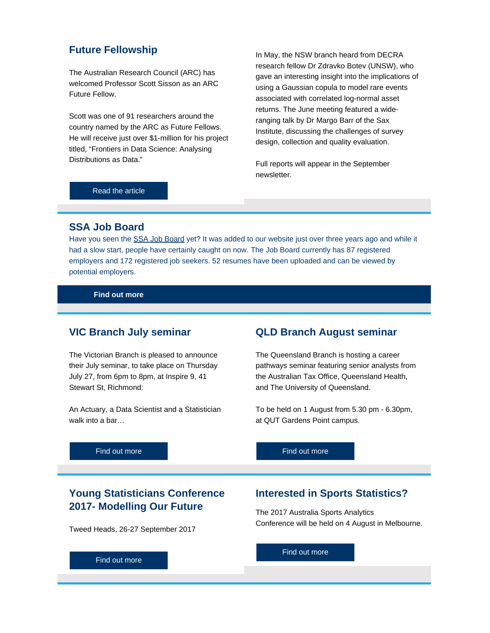### **Future Fellowship**

The Australian Research Council (ARC) has welcomed Professor Scott Sisson as an ARC Future Fellow.

Scott was one of 91 researchers around the country named by the ARC as Future Fellows. He will receive just over \$1-million for his project titled, "Frontiers in Data Science: Analysing Distributions as Data."

In May, the NSW branch heard from DECRA research fellow Dr Zdravko Botev (UNSW), who gave an interesting insight into the implications of using a Gaussian copula to model rare events associated with correlated log-normal asset returns. The June meeting featured a wideranging talk by Dr Margo Barr of the Sax Institute, discussing the challenges of survey design, collection and quality evaluation.

Full reports will appear in the September newsletter.

#### [Read the article](https://www.vision6.com.au/ch/43209/1wsr7/2374504/79e54106jr-1.docx)

#### **SSA Job Board**

Have you seen the [SSA Job Board](https://www.vision6.com.au/ch/43209/1wsr7/2374535/79e5416401.html) yet? It was added to our website just over three years ago and while it had a slow start, people have certainly caught on now. The Job Board currently has 87 registered employers and 172 registered job seekers. 52 resumes have been uploaded and can be viewed by potential employers.

**[Find out more](https://www.vision6.com.au/ch/43209/1wsr7/2374536/79e544kqg-1.docx)**

#### **VIC Branch July seminar**

The Victorian Branch is pleased to announce their July seminar, to take place on Thursday July 27, from 6pm to 8pm, at Inspire 9, 41 Stewart St, Richmond:

An Actuary, a Data Scientist and a Statistician walk into a bar…

### **QLD Branch August seminar**

The Queensland Branch is hosting a career pathways seminar featuring senior analysts from the Australian Tax Office, Queensland Health, and The University of Queensland.

To be held on 1 August from 5.30 pm - 6.30pm, at QUT Gardens Point campus.

[Find out more](https://www.vision6.com.au/ch/43209/1wsr7/2374537/79e54128jp-1.docx)

### **Young Statisticians Conference 2017- Modelling Our Future**

Tweed Heads, 26-27 September 2017

### **Interested in Sports Statistics?**

The 2017 Australia Sports Analytics Conference will be held on 4 August in Melbourne.

[Find out more](https://www.vision6.com.au/ch/43209/1wsr7/2374625/79e54bbcw-1.docx)

[Find out more](https://www.vision6.com.au/ch/43209/1wsr7/2374538/79e5413nks-1.docx)

[Find out more](https://www.vision6.com.au/ch/43209/1wsr7/2374624/79e541275x-1.docx)